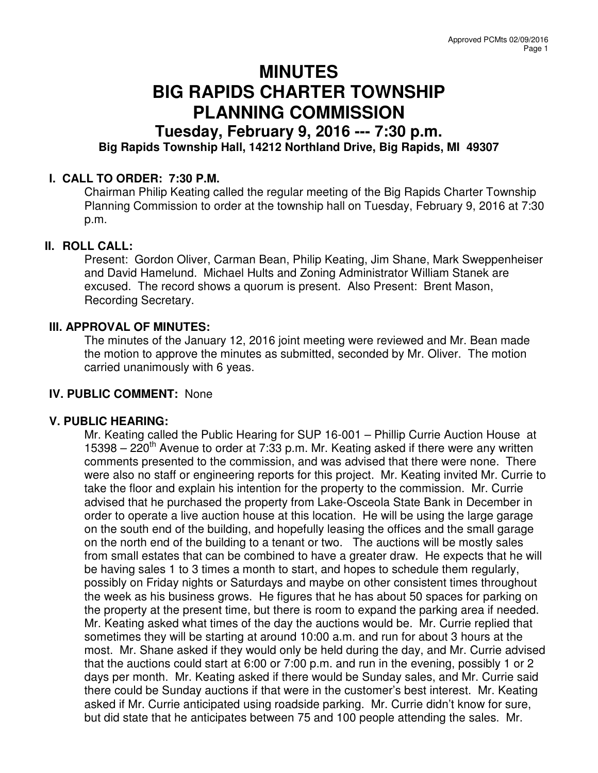# **MINUTES BIG RAPIDS CHARTER TOWNSHIP PLANNING COMMISSION**

# **Tuesday, February 9, 2016 --- 7:30 p.m. Big Rapids Township Hall, 14212 Northland Drive, Big Rapids, MI 49307**

## **I. CALL TO ORDER: 7:30 P.M.**

Chairman Philip Keating called the regular meeting of the Big Rapids Charter Township Planning Commission to order at the township hall on Tuesday, February 9, 2016 at 7:30 p.m.

#### **II. ROLL CALL:**

Present: Gordon Oliver, Carman Bean, Philip Keating, Jim Shane, Mark Sweppenheiser and David Hamelund. Michael Hults and Zoning Administrator William Stanek are excused. The record shows a quorum is present. Also Present: Brent Mason, Recording Secretary.

#### **III. APPROVAL OF MINUTES:**

The minutes of the January 12, 2016 joint meeting were reviewed and Mr. Bean made the motion to approve the minutes as submitted, seconded by Mr. Oliver. The motion carried unanimously with 6 yeas.

#### **IV. PUBLIC COMMENT:** None

#### **V. PUBLIC HEARING:**

Mr. Keating called the Public Hearing for SUP 16-001 – Phillip Currie Auction House at 15398 – 220<sup>th</sup> Avenue to order at 7:33 p.m. Mr. Keating asked if there were any written comments presented to the commission, and was advised that there were none. There were also no staff or engineering reports for this project. Mr. Keating invited Mr. Currie to take the floor and explain his intention for the property to the commission. Mr. Currie advised that he purchased the property from Lake-Osceola State Bank in December in order to operate a live auction house at this location. He will be using the large garage on the south end of the building, and hopefully leasing the offices and the small garage on the north end of the building to a tenant or two. The auctions will be mostly sales from small estates that can be combined to have a greater draw. He expects that he will be having sales 1 to 3 times a month to start, and hopes to schedule them regularly, possibly on Friday nights or Saturdays and maybe on other consistent times throughout the week as his business grows. He figures that he has about 50 spaces for parking on the property at the present time, but there is room to expand the parking area if needed. Mr. Keating asked what times of the day the auctions would be. Mr. Currie replied that sometimes they will be starting at around 10:00 a.m. and run for about 3 hours at the most. Mr. Shane asked if they would only be held during the day, and Mr. Currie advised that the auctions could start at 6:00 or 7:00 p.m. and run in the evening, possibly 1 or 2 days per month. Mr. Keating asked if there would be Sunday sales, and Mr. Currie said there could be Sunday auctions if that were in the customer's best interest. Mr. Keating asked if Mr. Currie anticipated using roadside parking. Mr. Currie didn't know for sure, but did state that he anticipates between 75 and 100 people attending the sales. Mr.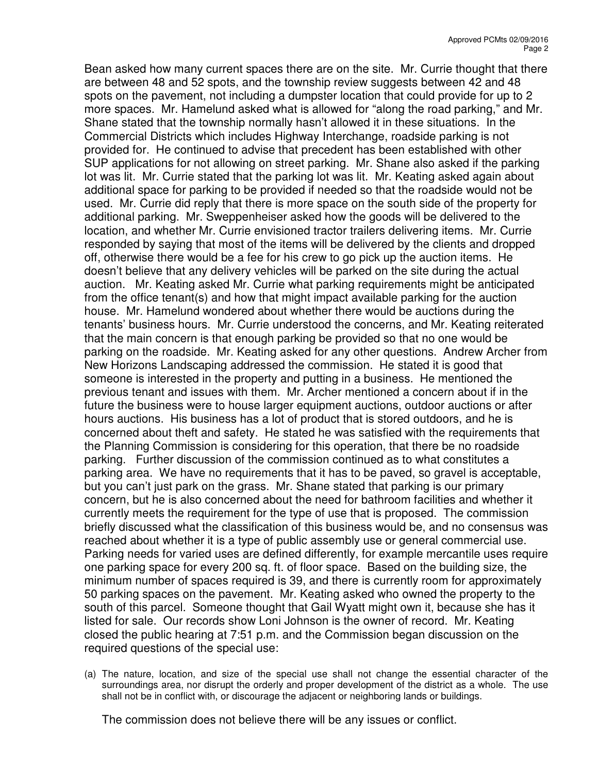Bean asked how many current spaces there are on the site. Mr. Currie thought that there are between 48 and 52 spots, and the township review suggests between 42 and 48 spots on the pavement, not including a dumpster location that could provide for up to 2 more spaces. Mr. Hamelund asked what is allowed for "along the road parking," and Mr. Shane stated that the township normally hasn't allowed it in these situations. In the Commercial Districts which includes Highway Interchange, roadside parking is not provided for. He continued to advise that precedent has been established with other SUP applications for not allowing on street parking. Mr. Shane also asked if the parking lot was lit. Mr. Currie stated that the parking lot was lit. Mr. Keating asked again about additional space for parking to be provided if needed so that the roadside would not be used. Mr. Currie did reply that there is more space on the south side of the property for additional parking. Mr. Sweppenheiser asked how the goods will be delivered to the location, and whether Mr. Currie envisioned tractor trailers delivering items. Mr. Currie responded by saying that most of the items will be delivered by the clients and dropped off, otherwise there would be a fee for his crew to go pick up the auction items. He doesn't believe that any delivery vehicles will be parked on the site during the actual auction. Mr. Keating asked Mr. Currie what parking requirements might be anticipated from the office tenant(s) and how that might impact available parking for the auction house. Mr. Hamelund wondered about whether there would be auctions during the tenants' business hours. Mr. Currie understood the concerns, and Mr. Keating reiterated that the main concern is that enough parking be provided so that no one would be parking on the roadside. Mr. Keating asked for any other questions. Andrew Archer from New Horizons Landscaping addressed the commission. He stated it is good that someone is interested in the property and putting in a business. He mentioned the previous tenant and issues with them. Mr. Archer mentioned a concern about if in the future the business were to house larger equipment auctions, outdoor auctions or after hours auctions. His business has a lot of product that is stored outdoors, and he is concerned about theft and safety. He stated he was satisfied with the requirements that the Planning Commission is considering for this operation, that there be no roadside parking. Further discussion of the commission continued as to what constitutes a parking area. We have no requirements that it has to be paved, so gravel is acceptable, but you can't just park on the grass. Mr. Shane stated that parking is our primary concern, but he is also concerned about the need for bathroom facilities and whether it currently meets the requirement for the type of use that is proposed. The commission briefly discussed what the classification of this business would be, and no consensus was reached about whether it is a type of public assembly use or general commercial use. Parking needs for varied uses are defined differently, for example mercantile uses require one parking space for every 200 sq. ft. of floor space. Based on the building size, the minimum number of spaces required is 39, and there is currently room for approximately 50 parking spaces on the pavement. Mr. Keating asked who owned the property to the south of this parcel. Someone thought that Gail Wyatt might own it, because she has it listed for sale. Our records show Loni Johnson is the owner of record. Mr. Keating closed the public hearing at 7:51 p.m. and the Commission began discussion on the required questions of the special use:

(a) The nature, location, and size of the special use shall not change the essential character of the surroundings area, nor disrupt the orderly and proper development of the district as a whole. The use shall not be in conflict with, or discourage the adjacent or neighboring lands or buildings.

The commission does not believe there will be any issues or conflict.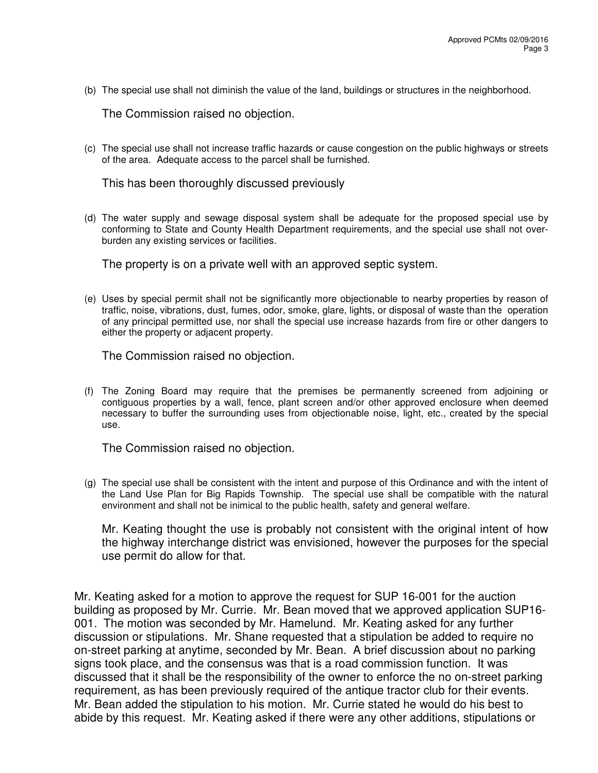(b) The special use shall not diminish the value of the land, buildings or structures in the neighborhood.

The Commission raised no objection.

(c) The special use shall not increase traffic hazards or cause congestion on the public highways or streets of the area. Adequate access to the parcel shall be furnished.

This has been thoroughly discussed previously

(d) The water supply and sewage disposal system shall be adequate for the proposed special use by conforming to State and County Health Department requirements, and the special use shall not overburden any existing services or facilities.

The property is on a private well with an approved septic system.

(e) Uses by special permit shall not be significantly more objectionable to nearby properties by reason of traffic, noise, vibrations, dust, fumes, odor, smoke, glare, lights, or disposal of waste than the operation of any principal permitted use, nor shall the special use increase hazards from fire or other dangers to either the property or adjacent property.

The Commission raised no objection.

(f) The Zoning Board may require that the premises be permanently screened from adjoining or contiguous properties by a wall, fence, plant screen and/or other approved enclosure when deemed necessary to buffer the surrounding uses from objectionable noise, light, etc., created by the special use.

The Commission raised no objection.

(g) The special use shall be consistent with the intent and purpose of this Ordinance and with the intent of the Land Use Plan for Big Rapids Township. The special use shall be compatible with the natural environment and shall not be inimical to the public health, safety and general welfare.

 Mr. Keating thought the use is probably not consistent with the original intent of how the highway interchange district was envisioned, however the purposes for the special use permit do allow for that.

 Mr. Keating asked for a motion to approve the request for SUP 16-001 for the auction building as proposed by Mr. Currie. Mr. Bean moved that we approved application SUP16- 001. The motion was seconded by Mr. Hamelund. Mr. Keating asked for any further discussion or stipulations. Mr. Shane requested that a stipulation be added to require no on-street parking at anytime, seconded by Mr. Bean. A brief discussion about no parking signs took place, and the consensus was that is a road commission function. It was discussed that it shall be the responsibility of the owner to enforce the no on-street parking requirement, as has been previously required of the antique tractor club for their events. Mr. Bean added the stipulation to his motion. Mr. Currie stated he would do his best to abide by this request. Mr. Keating asked if there were any other additions, stipulations or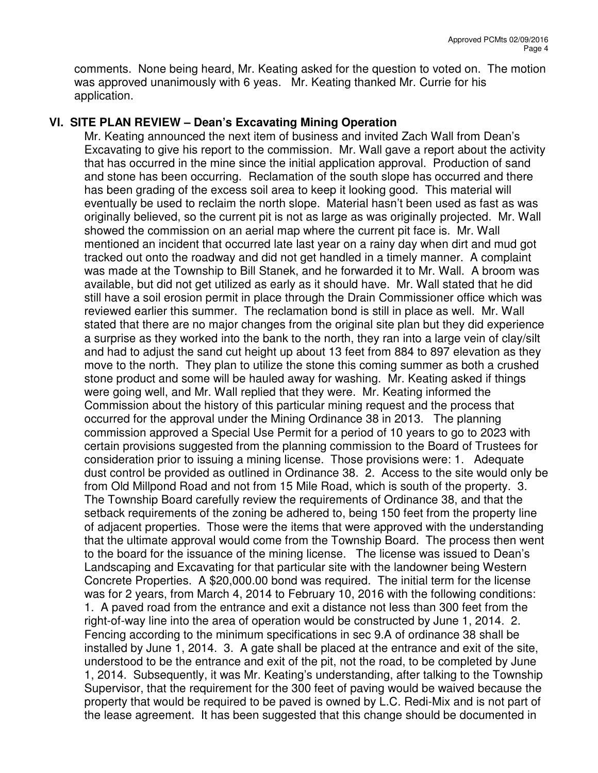comments. None being heard, Mr. Keating asked for the question to voted on. The motion was approved unanimously with 6 yeas. Mr. Keating thanked Mr. Currie for his application.

## **VI. SITE PLAN REVIEW – Dean's Excavating Mining Operation**

Mr. Keating announced the next item of business and invited Zach Wall from Dean's Excavating to give his report to the commission. Mr. Wall gave a report about the activity that has occurred in the mine since the initial application approval. Production of sand and stone has been occurring. Reclamation of the south slope has occurred and there has been grading of the excess soil area to keep it looking good. This material will eventually be used to reclaim the north slope. Material hasn't been used as fast as was originally believed, so the current pit is not as large as was originally projected. Mr. Wall showed the commission on an aerial map where the current pit face is. Mr. Wall mentioned an incident that occurred late last year on a rainy day when dirt and mud got tracked out onto the roadway and did not get handled in a timely manner. A complaint was made at the Township to Bill Stanek, and he forwarded it to Mr. Wall. A broom was available, but did not get utilized as early as it should have. Mr. Wall stated that he did still have a soil erosion permit in place through the Drain Commissioner office which was reviewed earlier this summer. The reclamation bond is still in place as well. Mr. Wall stated that there are no major changes from the original site plan but they did experience a surprise as they worked into the bank to the north, they ran into a large vein of clay/silt and had to adjust the sand cut height up about 13 feet from 884 to 897 elevation as they move to the north. They plan to utilize the stone this coming summer as both a crushed stone product and some will be hauled away for washing. Mr. Keating asked if things were going well, and Mr. Wall replied that they were. Mr. Keating informed the Commission about the history of this particular mining request and the process that occurred for the approval under the Mining Ordinance 38 in 2013. The planning commission approved a Special Use Permit for a period of 10 years to go to 2023 with certain provisions suggested from the planning commission to the Board of Trustees for consideration prior to issuing a mining license. Those provisions were: 1. Adequate dust control be provided as outlined in Ordinance 38. 2. Access to the site would only be from Old Millpond Road and not from 15 Mile Road, which is south of the property. 3. The Township Board carefully review the requirements of Ordinance 38, and that the setback requirements of the zoning be adhered to, being 150 feet from the property line of adjacent properties. Those were the items that were approved with the understanding that the ultimate approval would come from the Township Board. The process then went to the board for the issuance of the mining license. The license was issued to Dean's Landscaping and Excavating for that particular site with the landowner being Western Concrete Properties. A \$20,000.00 bond was required. The initial term for the license was for 2 years, from March 4, 2014 to February 10, 2016 with the following conditions: 1. A paved road from the entrance and exit a distance not less than 300 feet from the right-of-way line into the area of operation would be constructed by June 1, 2014. 2. Fencing according to the minimum specifications in sec 9.A of ordinance 38 shall be installed by June 1, 2014. 3. A gate shall be placed at the entrance and exit of the site, understood to be the entrance and exit of the pit, not the road, to be completed by June 1, 2014. Subsequently, it was Mr. Keating's understanding, after talking to the Township Supervisor, that the requirement for the 300 feet of paving would be waived because the property that would be required to be paved is owned by L.C. Redi-Mix and is not part of the lease agreement. It has been suggested that this change should be documented in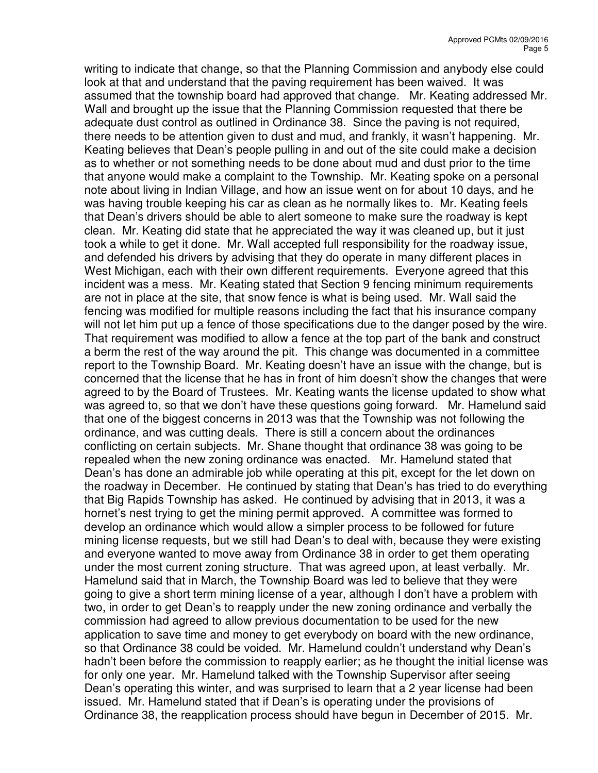writing to indicate that change, so that the Planning Commission and anybody else could look at that and understand that the paving requirement has been waived. It was assumed that the township board had approved that change. Mr. Keating addressed Mr. Wall and brought up the issue that the Planning Commission requested that there be adequate dust control as outlined in Ordinance 38. Since the paving is not required, there needs to be attention given to dust and mud, and frankly, it wasn't happening. Mr. Keating believes that Dean's people pulling in and out of the site could make a decision as to whether or not something needs to be done about mud and dust prior to the time that anyone would make a complaint to the Township. Mr. Keating spoke on a personal note about living in Indian Village, and how an issue went on for about 10 days, and he was having trouble keeping his car as clean as he normally likes to. Mr. Keating feels that Dean's drivers should be able to alert someone to make sure the roadway is kept clean. Mr. Keating did state that he appreciated the way it was cleaned up, but it just took a while to get it done. Mr. Wall accepted full responsibility for the roadway issue, and defended his drivers by advising that they do operate in many different places in West Michigan, each with their own different requirements. Everyone agreed that this incident was a mess. Mr. Keating stated that Section 9 fencing minimum requirements are not in place at the site, that snow fence is what is being used. Mr. Wall said the fencing was modified for multiple reasons including the fact that his insurance company will not let him put up a fence of those specifications due to the danger posed by the wire. That requirement was modified to allow a fence at the top part of the bank and construct a berm the rest of the way around the pit. This change was documented in a committee report to the Township Board. Mr. Keating doesn't have an issue with the change, but is concerned that the license that he has in front of him doesn't show the changes that were agreed to by the Board of Trustees. Mr. Keating wants the license updated to show what was agreed to, so that we don't have these questions going forward. Mr. Hamelund said that one of the biggest concerns in 2013 was that the Township was not following the ordinance, and was cutting deals. There is still a concern about the ordinances conflicting on certain subjects. Mr. Shane thought that ordinance 38 was going to be repealed when the new zoning ordinance was enacted. Mr. Hamelund stated that Dean's has done an admirable job while operating at this pit, except for the let down on the roadway in December. He continued by stating that Dean's has tried to do everything that Big Rapids Township has asked. He continued by advising that in 2013, it was a hornet's nest trying to get the mining permit approved. A committee was formed to develop an ordinance which would allow a simpler process to be followed for future mining license requests, but we still had Dean's to deal with, because they were existing and everyone wanted to move away from Ordinance 38 in order to get them operating under the most current zoning structure. That was agreed upon, at least verbally. Mr. Hamelund said that in March, the Township Board was led to believe that they were going to give a short term mining license of a year, although I don't have a problem with two, in order to get Dean's to reapply under the new zoning ordinance and verbally the commission had agreed to allow previous documentation to be used for the new application to save time and money to get everybody on board with the new ordinance, so that Ordinance 38 could be voided. Mr. Hamelund couldn't understand why Dean's hadn't been before the commission to reapply earlier; as he thought the initial license was for only one year. Mr. Hamelund talked with the Township Supervisor after seeing Dean's operating this winter, and was surprised to learn that a 2 year license had been issued. Mr. Hamelund stated that if Dean's is operating under the provisions of Ordinance 38, the reapplication process should have begun in December of 2015. Mr.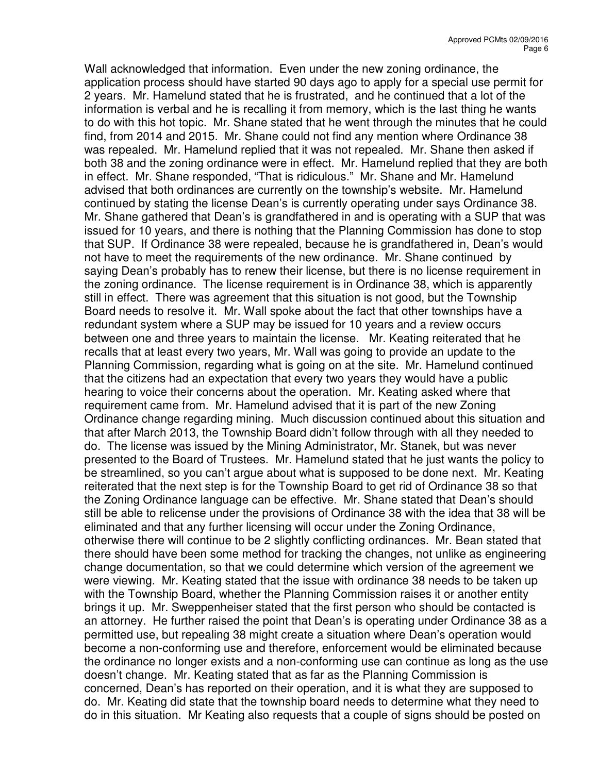Wall acknowledged that information. Even under the new zoning ordinance, the application process should have started 90 days ago to apply for a special use permit for 2 years. Mr. Hamelund stated that he is frustrated, and he continued that a lot of the information is verbal and he is recalling it from memory, which is the last thing he wants to do with this hot topic. Mr. Shane stated that he went through the minutes that he could find, from 2014 and 2015. Mr. Shane could not find any mention where Ordinance 38 was repealed. Mr. Hamelund replied that it was not repealed. Mr. Shane then asked if both 38 and the zoning ordinance were in effect. Mr. Hamelund replied that they are both in effect. Mr. Shane responded, "That is ridiculous." Mr. Shane and Mr. Hamelund advised that both ordinances are currently on the township's website. Mr. Hamelund continued by stating the license Dean's is currently operating under says Ordinance 38. Mr. Shane gathered that Dean's is grandfathered in and is operating with a SUP that was issued for 10 years, and there is nothing that the Planning Commission has done to stop that SUP. If Ordinance 38 were repealed, because he is grandfathered in, Dean's would not have to meet the requirements of the new ordinance. Mr. Shane continued by saying Dean's probably has to renew their license, but there is no license requirement in the zoning ordinance. The license requirement is in Ordinance 38, which is apparently still in effect. There was agreement that this situation is not good, but the Township Board needs to resolve it. Mr. Wall spoke about the fact that other townships have a redundant system where a SUP may be issued for 10 years and a review occurs between one and three years to maintain the license. Mr. Keating reiterated that he recalls that at least every two years, Mr. Wall was going to provide an update to the Planning Commission, regarding what is going on at the site. Mr. Hamelund continued that the citizens had an expectation that every two years they would have a public hearing to voice their concerns about the operation. Mr. Keating asked where that requirement came from. Mr. Hamelund advised that it is part of the new Zoning Ordinance change regarding mining. Much discussion continued about this situation and that after March 2013, the Township Board didn't follow through with all they needed to do. The license was issued by the Mining Administrator, Mr. Stanek, but was never presented to the Board of Trustees. Mr. Hamelund stated that he just wants the policy to be streamlined, so you can't argue about what is supposed to be done next. Mr. Keating reiterated that the next step is for the Township Board to get rid of Ordinance 38 so that the Zoning Ordinance language can be effective. Mr. Shane stated that Dean's should still be able to relicense under the provisions of Ordinance 38 with the idea that 38 will be eliminated and that any further licensing will occur under the Zoning Ordinance, otherwise there will continue to be 2 slightly conflicting ordinances. Mr. Bean stated that there should have been some method for tracking the changes, not unlike as engineering change documentation, so that we could determine which version of the agreement we were viewing. Mr. Keating stated that the issue with ordinance 38 needs to be taken up with the Township Board, whether the Planning Commission raises it or another entity brings it up. Mr. Sweppenheiser stated that the first person who should be contacted is an attorney. He further raised the point that Dean's is operating under Ordinance 38 as a permitted use, but repealing 38 might create a situation where Dean's operation would become a non-conforming use and therefore, enforcement would be eliminated because the ordinance no longer exists and a non-conforming use can continue as long as the use doesn't change. Mr. Keating stated that as far as the Planning Commission is concerned, Dean's has reported on their operation, and it is what they are supposed to do. Mr. Keating did state that the township board needs to determine what they need to do in this situation. Mr Keating also requests that a couple of signs should be posted on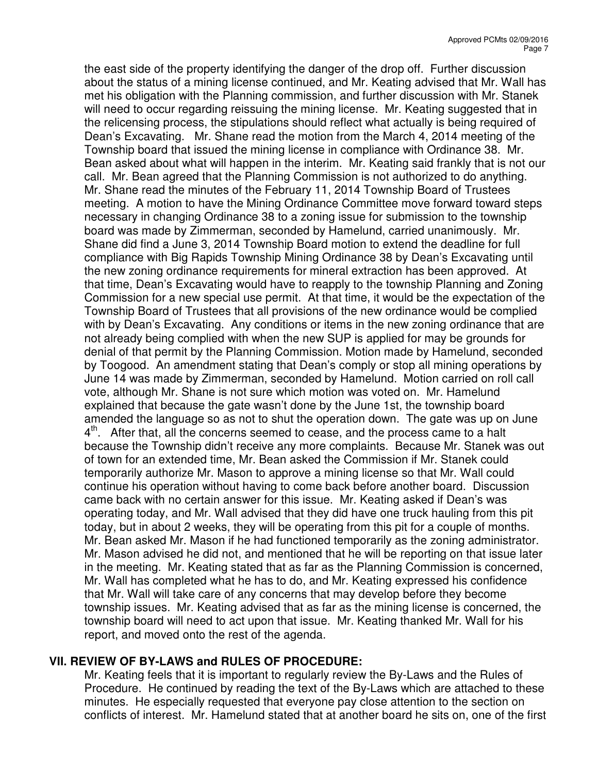the east side of the property identifying the danger of the drop off. Further discussion about the status of a mining license continued, and Mr. Keating advised that Mr. Wall has met his obligation with the Planning commission, and further discussion with Mr. Stanek will need to occur regarding reissuing the mining license. Mr. Keating suggested that in the relicensing process, the stipulations should reflect what actually is being required of Dean's Excavating. Mr. Shane read the motion from the March 4, 2014 meeting of the Township board that issued the mining license in compliance with Ordinance 38. Mr. Bean asked about what will happen in the interim. Mr. Keating said frankly that is not our call. Mr. Bean agreed that the Planning Commission is not authorized to do anything. Mr. Shane read the minutes of the February 11, 2014 Township Board of Trustees meeting. A motion to have the Mining Ordinance Committee move forward toward steps necessary in changing Ordinance 38 to a zoning issue for submission to the township board was made by Zimmerman, seconded by Hamelund, carried unanimously. Mr. Shane did find a June 3, 2014 Township Board motion to extend the deadline for full compliance with Big Rapids Township Mining Ordinance 38 by Dean's Excavating until the new zoning ordinance requirements for mineral extraction has been approved. At that time, Dean's Excavating would have to reapply to the township Planning and Zoning Commission for a new special use permit. At that time, it would be the expectation of the Township Board of Trustees that all provisions of the new ordinance would be complied with by Dean's Excavating. Any conditions or items in the new zoning ordinance that are not already being complied with when the new SUP is applied for may be grounds for denial of that permit by the Planning Commission. Motion made by Hamelund, seconded by Toogood. An amendment stating that Dean's comply or stop all mining operations by June 14 was made by Zimmerman, seconded by Hamelund. Motion carried on roll call vote, although Mr. Shane is not sure which motion was voted on. Mr. Hamelund explained that because the gate wasn't done by the June 1st, the township board amended the language so as not to shut the operation down. The gate was up on June 4<sup>th</sup>. After that, all the concerns seemed to cease, and the process came to a halt because the Township didn't receive any more complaints. Because Mr. Stanek was out of town for an extended time, Mr. Bean asked the Commission if Mr. Stanek could temporarily authorize Mr. Mason to approve a mining license so that Mr. Wall could continue his operation without having to come back before another board. Discussion came back with no certain answer for this issue. Mr. Keating asked if Dean's was operating today, and Mr. Wall advised that they did have one truck hauling from this pit today, but in about 2 weeks, they will be operating from this pit for a couple of months. Mr. Bean asked Mr. Mason if he had functioned temporarily as the zoning administrator. Mr. Mason advised he did not, and mentioned that he will be reporting on that issue later in the meeting. Mr. Keating stated that as far as the Planning Commission is concerned, Mr. Wall has completed what he has to do, and Mr. Keating expressed his confidence that Mr. Wall will take care of any concerns that may develop before they become township issues. Mr. Keating advised that as far as the mining license is concerned, the township board will need to act upon that issue. Mr. Keating thanked Mr. Wall for his report, and moved onto the rest of the agenda.

#### **VII. REVIEW OF BY-LAWS and RULES OF PROCEDURE:**

Mr. Keating feels that it is important to regularly review the By-Laws and the Rules of Procedure. He continued by reading the text of the By-Laws which are attached to these minutes. He especially requested that everyone pay close attention to the section on conflicts of interest. Mr. Hamelund stated that at another board he sits on, one of the first